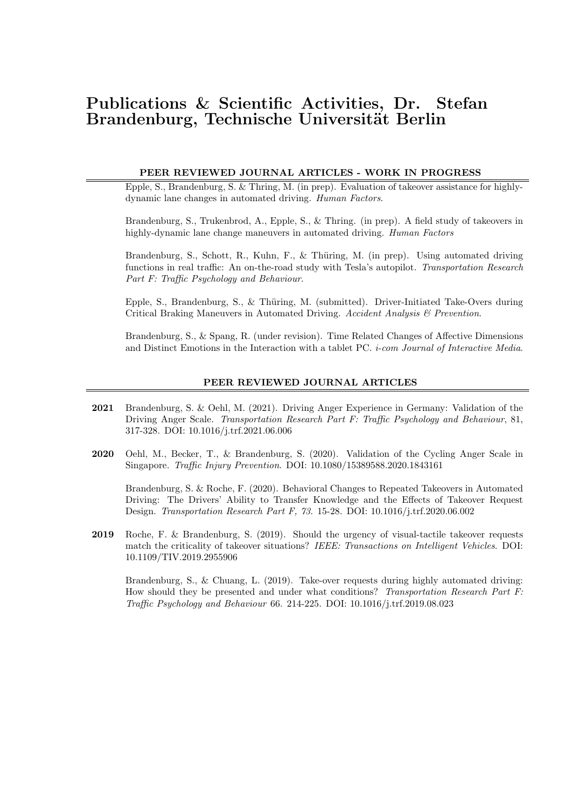# Publications & Scientific Activities, Dr. Stefan Brandenburg, Technische Universität Berlin

## PEER REVIEWED JOURNAL ARTICLES - WORK IN PROGRESS

Epple, S., Brandenburg, S. & Thring, M. (in prep). Evaluation of takeover assistance for highlydynamic lane changes in automated driving. Human Factors.

Brandenburg, S., Trukenbrod, A., Epple, S., & Thring. (in prep). A field study of takeovers in highly-dynamic lane change maneuvers in automated driving. Human Factors

Brandenburg, S., Schott, R., Kuhn, F., & Thüring, M. (in prep). Using automated driving functions in real traffic: An on-the-road study with Tesla's autopilot. Transportation Research Part F: Traffic Psychology and Behaviour.

Epple, S., Brandenburg, S., & Thüring, M. (submitted). Driver-Initiated Take-Overs during Critical Braking Maneuvers in Automated Driving. Accident Analysis & Prevention.

Brandenburg, S., & Spang, R. (under revision). Time Related Changes of Affective Dimensions and Distinct Emotions in the Interaction with a tablet PC. i-com Journal of Interactive Media.

#### PEER REVIEWED JOURNAL ARTICLES

- 2021 Brandenburg, S. & Oehl, M. (2021). Driving Anger Experience in Germany: Validation of the Driving Anger Scale. Transportation Research Part F: Traffic Psychology and Behaviour, 81, 317-328. DOI: 10.1016/j.trf.2021.06.006
- 2020 Oehl, M., Becker, T., & Brandenburg, S. (2020). Validation of the Cycling Anger Scale in Singapore. Traffic Injury Prevention. DOI: 10.1080/15389588.2020.1843161

Brandenburg, S. & Roche, F. (2020). Behavioral Changes to Repeated Takeovers in Automated Driving: The Drivers' Ability to Transfer Knowledge and the Effects of Takeover Request Design. Transportation Research Part F, 73. 15-28. DOI: 10.1016/j.trf.2020.06.002

2019 Roche, F. & Brandenburg, S. (2019). Should the urgency of visual-tactile takeover requests match the criticality of takeover situations? IEEE: Transactions on Intelligent Vehicles. DOI: 10.1109/TIV.2019.2955906

Brandenburg, S., & Chuang, L. (2019). Take-over requests during highly automated driving: How should they be presented and under what conditions? Transportation Research Part F: Traffic Psychology and Behaviour 66. 214-225. DOI: 10.1016/j.trf.2019.08.023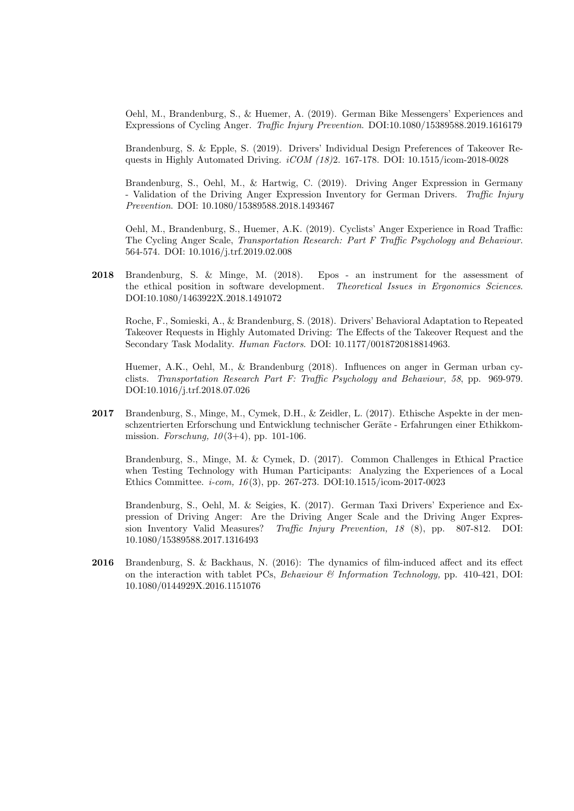Oehl, M., Brandenburg, S., & Huemer, A. (2019). German Bike Messengers' Experiences and Expressions of Cycling Anger. Traffic Injury Prevention. DOI:10.1080/15389588.2019.1616179

Brandenburg, S. & Epple, S. (2019). Drivers' Individual Design Preferences of Takeover Requests in Highly Automated Driving. iCOM (18)2. 167-178. DOI: 10.1515/icom-2018-0028

Brandenburg, S., Oehl, M., & Hartwig, C. (2019). Driving Anger Expression in Germany - Validation of the Driving Anger Expression Inventory for German Drivers. Traffic Injury Prevention. DOI: 10.1080/15389588.2018.1493467

Oehl, M., Brandenburg, S., Huemer, A.K. (2019). Cyclists' Anger Experience in Road Traffic: The Cycling Anger Scale, Transportation Research: Part F Traffic Psychology and Behaviour. 564-574. DOI: 10.1016/j.trf.2019.02.008

2018 Brandenburg, S. & Minge, M. (2018). Epos - an instrument for the assessment of the ethical position in software development. Theoretical Issues in Ergonomics Sciences. DOI:10.1080/1463922X.2018.1491072

Roche, F., Somieski, A., & Brandenburg, S. (2018). Drivers' Behavioral Adaptation to Repeated Takeover Requests in Highly Automated Driving: The Effects of the Takeover Request and the Secondary Task Modality. Human Factors. DOI: 10.1177/0018720818814963.

Huemer, A.K., Oehl, M., & Brandenburg (2018). Influences on anger in German urban cyclists. Transportation Research Part F: Traffic Psychology and Behaviour, 58, pp. 969-979. DOI:10.1016/j.trf.2018.07.026

2017 Brandenburg, S., Minge, M., Cymek, D.H., & Zeidler, L. (2017). Ethische Aspekte in der menschzentrierten Erforschung und Entwicklung technischer Geräte - Erfahrungen einer Ethikkommission. Forschung,  $10(3+4)$ , pp. 101-106.

Brandenburg, S., Minge, M. & Cymek, D. (2017). Common Challenges in Ethical Practice when Testing Technology with Human Participants: Analyzing the Experiences of a Local Ethics Committee. i-com, 16 (3), pp. 267-273. DOI:10.1515/icom-2017-0023

Brandenburg, S., Oehl, M. & Seigies, K. (2017). German Taxi Drivers' Experience and Expression of Driving Anger: Are the Driving Anger Scale and the Driving Anger Expression Inventory Valid Measures? Traffic Injury Prevention, 18 (8), pp. 807-812. DOI: 10.1080/15389588.2017.1316493

2016 Brandenburg, S. & Backhaus, N. (2016): The dynamics of film-induced affect and its effect on the interaction with tablet PCs, Behaviour & Information Technology, pp. 410-421, DOI: 10.1080/0144929X.2016.1151076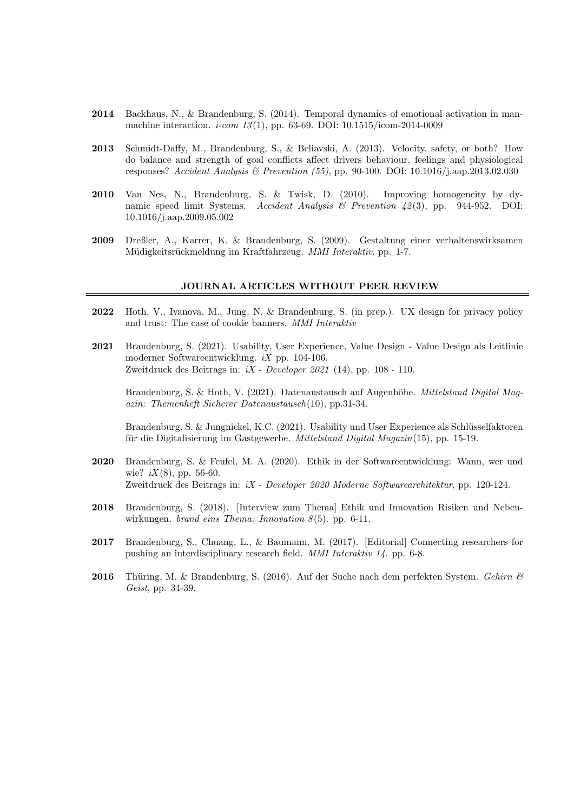- 2014 Backhaus, N., & Brandenburg, S. (2014). Temporal dynamics of emotional activation in manmachine interaction. *i-com* 13(1), pp. 63-69. DOI:  $10.1515$ /icom-2014-0009
- 2013 Schmidt-Daffy, M., Brandenburg, S., & Beliavski, A. (2013). Velocity, safety, or both? How do balance and strength of goal conflicts affect drivers behaviour, feelings and physiological responses? Accident Analysis & Prevention (55), pp. 90-100. DOI: 10.1016/j.aap.2013.02.030
- 2010 Van Nes, N., Brandenburg, S. & Twisk, D. (2010). Improving homogeneity by dynamic speed limit Systems. Accident Analysis & Prevention  $\mu$ 2(3), pp. 944-952. DOI: 10.1016/j.aap.2009.05.002
- 2009 Dreßler, A., Karrer, K. & Brandenburg, S. (2009). Gestaltung einer verhaltenswirksamen Müdigkeitsrückmeldung im Kraftfahrzeug. MMI Interaktiv, pp. 1-7.

#### JOURNAL ARTICLES WITHOUT PEER REVIEW

- 2022 Hoth, V., Ivanova, M., Jung, N. & Brandenburg, S. (in prep.). UX design for privacy policy and trust: The case of cookie banners. MMI Interaktiv
- 2021 Brandenburg, S. (2021). Usability, User Experience, Value Design Value Design als Leitlinie moderner Softwareentwicklung. iX pp. 104-106. Zweitdruck des Beitrags in:  $iX$  - Developer 2021 (14), pp. 108 - 110.

Brandenburg, S. & Hoth, V. (2021). Datenaustausch auf Augenhöhe. *Mittelstand Digital Mag*azin: Themenheft Sicherer Datenaustausch(10), pp.31-34.

Brandenburg, S. & Jungnickel, K.C. (2021). Usability und User Experience als Schlüsselfaktoren für die Digitalisierung im Gastgewerbe. Mittelstand Digital Magazin(15), pp. 15-19.

- 2020 Brandenburg, S. & Feufel, M. A. (2020). Ethik in der Softwareentwicklung: Wann, wer und wie?  $iX(8)$ , pp. 56-60. Zweitdruck des Beitrags in: iX - Developer 2020 Moderne Softwarearchitektur, pp. 120-124.
- 2018 Brandenburg, S. (2018). [Interview zum Thema] Ethik und Innovation Risiken und Nebenwirkungen. brand eins Thema: Innovation  $8(5)$ . pp. 6-11.
- 2017 Brandenburg, S., Chuang, L., & Baumann, M. (2017). [Editorial] Connecting researchers for pushing an interdisciplinary research field. MMI Interaktiv 14. pp. 6-8.
- 2016 Thüring, M. & Brandenburg, S. (2016). Auf der Suche nach dem perfekten System. Gehirn  $\mathcal C$ Geist, pp. 34-39.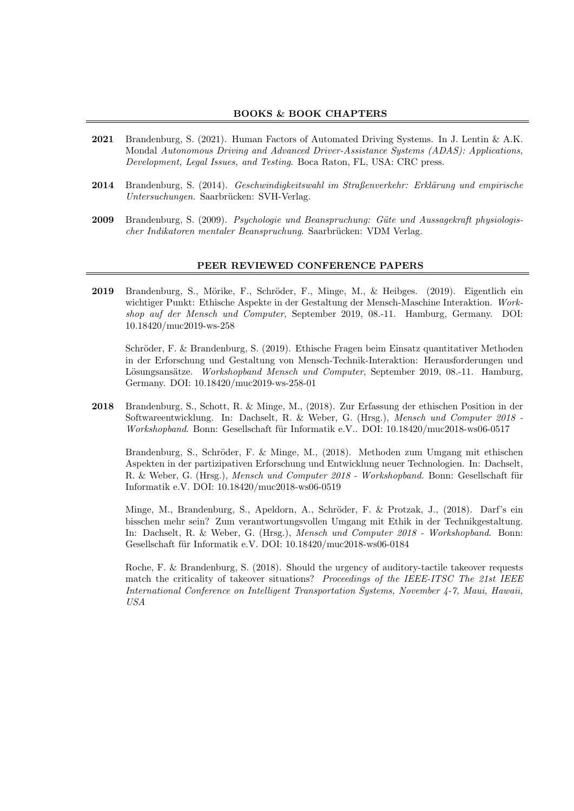## BOOKS & BOOK CHAPTERS

- 2021 Brandenburg, S. (2021). Human Factors of Automated Driving Systems. In J. Lentin & A.K. Mondal Autonomous Driving and Advanced Driver-Assistance Systems (ADAS): Applications, Development, Legal Issues, and Testing. Boca Raton, FL, USA: CRC press.
- 2014 Brandenburg, S. (2014). Geschwindigkeitswahl im Straßenverkehr: Erklärung und empirische Untersuchungen. Saarbrücken: SVH-Verlag.
- 2009 Brandenburg, S. (2009). Psychologie und Beanspruchung: Güte und Aussagekraft physiologischer Indikatoren mentaler Beanspruchung. Saarbrücken: VDM Verlag.

#### PEER REVIEWED CONFERENCE PAPERS

2019 Brandenburg, S., Mörike, F., Schröder, F., Minge, M., & Heibges. (2019). Eigentlich ein wichtiger Punkt: Ethische Aspekte in der Gestaltung der Mensch-Maschine Interaktion. Workshop auf der Mensch und Computer, September 2019, 08.-11. Hamburg, Germany. DOI: 10.18420/muc2019-ws-258

Schröder, F. & Brandenburg, S. (2019). Ethische Fragen beim Einsatz quantitativer Methoden in der Erforschung und Gestaltung von Mensch-Technik-Interaktion: Herausforderungen und Lösungsansätze. Workshopband Mensch und Computer, September 2019, 08.-11. Hamburg, Germany. DOI: 10.18420/muc2019-ws-258-01

2018 Brandenburg, S., Schott, R. & Minge, M., (2018). Zur Erfassung der ethischen Position in der Softwareentwicklung. In: Dachselt, R. & Weber, G. (Hrsg.), Mensch und Computer 2018 - Workshopband. Bonn: Gesellschaft für Informatik e.V.. DOI: 10.18420/muc2018-ws06-0517

Brandenburg, S., Schröder, F. & Minge, M., (2018). Methoden zum Umgang mit ethischen Aspekten in der partizipativen Erforschung und Entwicklung neuer Technologien. In: Dachselt, R. & Weber, G. (Hrsg.), Mensch und Computer 2018 - Workshopband. Bonn: Gesellschaft für Informatik e.V. DOI: 10.18420/muc2018-ws06-0519

Minge, M., Brandenburg, S., Apeldorn, A., Schröder, F. & Protzak, J., (2018). Darf's ein bisschen mehr sein? Zum verantwortungsvollen Umgang mit Ethik in der Technikgestaltung. In: Dachselt, R. & Weber, G. (Hrsg.), Mensch und Computer 2018 - Workshopband. Bonn: Gesellschaft für Informatik e.V. DOI: 10.18420/muc2018-ws06-0184

Roche, F. & Brandenburg, S. (2018). Should the urgency of auditory-tactile takeover requests match the criticality of takeover situations? Proceedings of the IEEE-ITSC The 21st IEEE International Conference on Intelligent Transportation Systems, November 4-7, Maui, Hawaii, USA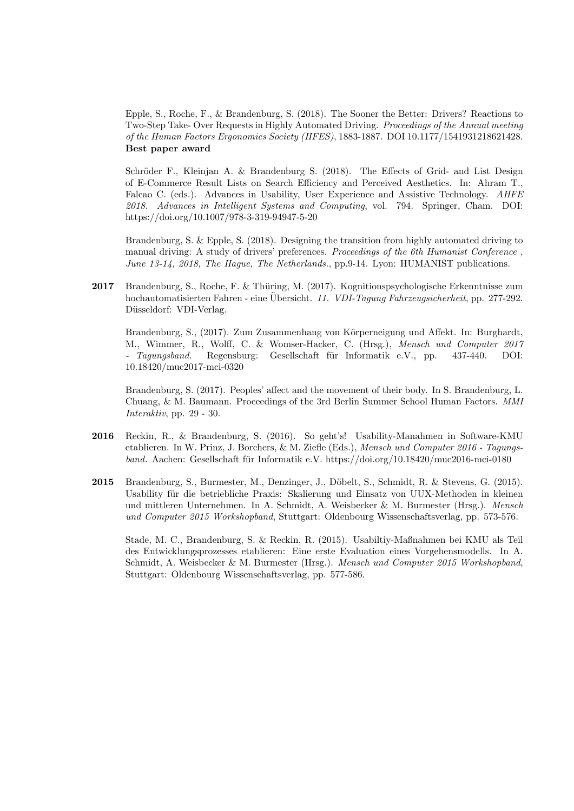Epple, S., Roche, F., & Brandenburg, S. (2018). The Sooner the Better: Drivers? Reactions to Two-Step Take- Over Requests in Highly Automated Driving. Proceedings of the Annual meeting of the Human Factors Ergonomics Society (HFES), 1883-1887. DOI 10.1177/1541931218621428. Best paper award

Schröder F., Kleinjan A. & Brandenburg S. (2018). The Effects of Grid- and List Design of E-Commerce Result Lists on Search Efficiency and Perceived Aesthetics. In: Ahram T., Falcao C. (eds.). Advances in Usability, User Experience and Assistive Technology. AHFE 2018. Advances in Intelligent Systems and Computing, vol. 794. Springer, Cham. DOI: https://doi.org/10.1007/978-3-319-94947-5-20

Brandenburg, S. & Epple, S. (2018). Designing the transition from highly automated driving to manual driving: A study of drivers' preferences. Proceedings of the 6th Humanist Conference , June 13-14, 2018, The Hague, The Netherlands., pp.9-14. Lyon: HUMANIST publications.

2017 Brandenburg, S., Roche, F. & Thüring, M. (2017). Kognitionspsychologische Erkenntnisse zum hochautomatisierten Fahren - eine Übersicht. 11. VDI-Tagung Fahrzeugsicherheit, pp. 277-292. Düsseldorf: VDI-Verlag.

Brandenburg, S., (2017). Zum Zusammenhang von Körperneigung und Affekt. In: Burghardt, M., Wimmer, R., Wolff, C. & Womser-Hacker, C. (Hrsg.), Mensch und Computer 2017 Tagungsband. Regensburg: Gesellschaft für Informatik e.V., pp. 437-440. DOI: 10.18420/muc2017-mci-0320

Brandenburg, S. (2017). Peoples' affect and the movement of their body. In S. Brandenburg, L. Chuang, & M. Baumann. Proceedings of the 3rd Berlin Summer School Human Factors. MMI Interaktiv, pp. 29 - 30.

- 2016 Reckin, R., & Brandenburg, S. (2016). So geht's! Usability-Manahmen in Software-KMU etablieren. In W. Prinz, J. Borchers, & M. Ziefle (Eds.), Mensch und Computer 2016 - Tagungsband. Aachen: Gesellschaft für Informatik e.V. https://doi.org/10.18420/muc2016-mci-0180
- 2015 Brandenburg, S., Burmester, M., Denzinger, J., Döbelt, S., Schmidt, R. & Stevens, G. (2015). Usability für die betriebliche Praxis: Skalierung und Einsatz von UUX-Methoden in kleinen und mittleren Unternehmen. In A. Schmidt, A. Weisbecker & M. Burmester (Hrsg.). Mensch und Computer 2015 Workshopband, Stuttgart: Oldenbourg Wissenschaftsverlag, pp. 573-576.

Stade, M. C., Brandenburg, S. & Reckin, R. (2015). Usabiltiy-Maßnahmen bei KMU als Teil des Entwicklungsprozesses etablieren: Eine erste Evaluation eines Vorgehensmodells. In A. Schmidt, A. Weisbecker & M. Burmester (Hrsg.). Mensch und Computer 2015 Workshopband, Stuttgart: Oldenbourg Wissenschaftsverlag, pp. 577-586.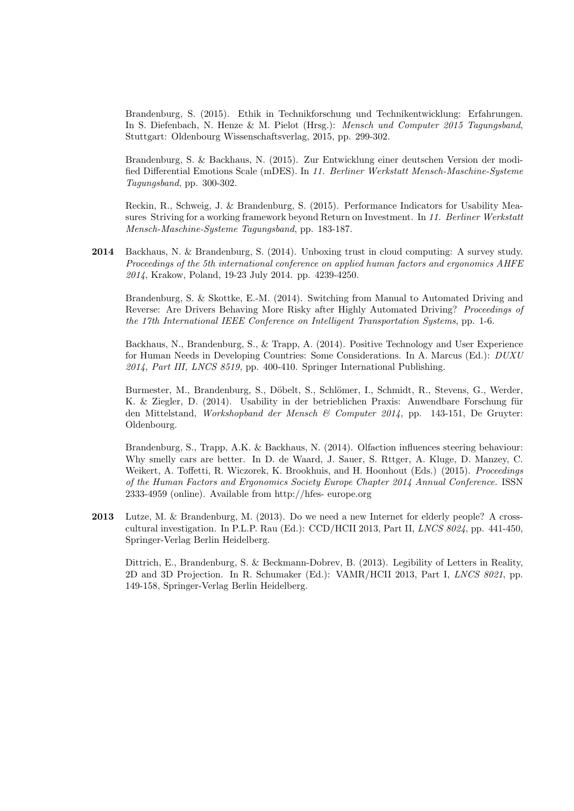Brandenburg, S. (2015). Ethik in Technikforschung und Technikentwicklung: Erfahrungen. In S. Diefenbach, N. Henze & M. Pielot (Hrsg.): Mensch und Computer 2015 Tagungsband, Stuttgart: Oldenbourg Wissenschaftsverlag, 2015, pp. 299-302.

Brandenburg, S. & Backhaus, N. (2015). Zur Entwicklung einer deutschen Version der modified Differential Emotions Scale (mDES). In 11. Berliner Werkstatt Mensch-Maschine-Systeme Tagungsband, pp. 300-302.

Reckin, R., Schweig, J. & Brandenburg, S. (2015). Performance Indicators for Usability Measures Striving for a working framework beyond Return on Investment. In 11. Berliner Werkstatt Mensch-Maschine-Systeme Tagungsband, pp. 183-187.

2014 Backhaus, N. & Brandenburg, S. (2014). Unboxing trust in cloud computing: A survey study. Proceedings of the 5th international conference on applied human factors and ergonomics AHFE 2014, Krakow, Poland, 19-23 July 2014. pp. 4239-4250.

Brandenburg, S. & Skottke, E.-M. (2014). Switching from Manual to Automated Driving and Reverse: Are Drivers Behaving More Risky after Highly Automated Driving? Proceedings of the 17th International IEEE Conference on Intelligent Transportation Systems, pp. 1-6.

Backhaus, N., Brandenburg, S., & Trapp, A. (2014). Positive Technology and User Experience for Human Needs in Developing Countries: Some Considerations. In A. Marcus (Ed.): DUXU 2014, Part III, LNCS 8519, pp. 400-410. Springer International Publishing.

Burmester, M., Brandenburg, S., Döbelt, S., Schlömer, I., Schmidt, R., Stevens, G., Werder, K. & Ziegler, D. (2014). Usability in der betrieblichen Praxis: Anwendbare Forschung für den Mittelstand, Workshopband der Mensch & Computer 2014, pp. 143-151, De Gruyter: Oldenbourg.

Brandenburg, S., Trapp, A.K. & Backhaus, N. (2014). Olfaction influences steering behaviour: Why smelly cars are better. In D. de Waard, J. Sauer, S. Rttger, A. Kluge, D. Manzey, C. Weikert, A. Toffetti, R. Wiczorek, K. Brookhuis, and H. Hoonhout (Eds.) (2015). *Proceedings* of the Human Factors and Ergonomics Society Europe Chapter 2014 Annual Conference. ISSN 2333-4959 (online). Available from http://hfes- europe.org

2013 Lutze, M. & Brandenburg, M. (2013). Do we need a new Internet for elderly people? A crosscultural investigation. In P.L.P. Rau (Ed.): CCD/HCII 2013, Part II, LNCS 8024, pp. 441-450, Springer-Verlag Berlin Heidelberg.

Dittrich, E., Brandenburg, S. & Beckmann-Dobrev, B. (2013). Legibility of Letters in Reality, 2D and 3D Projection. In R. Schumaker (Ed.): VAMR/HCII 2013, Part I, LNCS 8021, pp. 149-158, Springer-Verlag Berlin Heidelberg.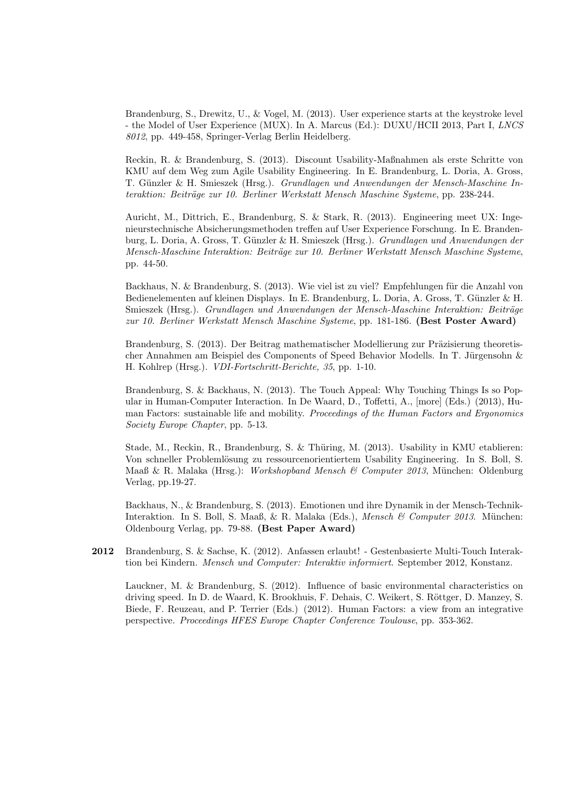Brandenburg, S., Drewitz, U., & Vogel, M. (2013). User experience starts at the keystroke level - the Model of User Experience (MUX). In A. Marcus (Ed.): DUXU/HCII 2013, Part I, LNCS 8012, pp. 449-458, Springer-Verlag Berlin Heidelberg.

Reckin, R. & Brandenburg, S. (2013). Discount Usability-Maßnahmen als erste Schritte von KMU auf dem Weg zum Agile Usability Engineering. In E. Brandenburg, L. Doria, A. Gross, T. Günzler & H. Smieszek (Hrsg.). Grundlagen und Anwendungen der Mensch-Maschine Interaktion: Beiträge zur 10. Berliner Werkstatt Mensch Maschine Systeme, pp. 238-244.

Auricht, M., Dittrich, E., Brandenburg, S. & Stark, R. (2013). Engineering meet UX: Ingenieurstechnische Absicherungsmethoden treffen auf User Experience Forschung. In E. Brandenburg, L. Doria, A. Gross, T. Günzler & H. Smieszek (Hrsg.). Grundlagen und Anwendungen der Mensch-Maschine Interaktion: Beiträge zur 10. Berliner Werkstatt Mensch Maschine Systeme, pp. 44-50.

Backhaus, N. & Brandenburg, S. (2013). Wie viel ist zu viel? Empfehlungen für die Anzahl von Bedienelementen auf kleinen Displays. In E. Brandenburg, L. Doria, A. Gross, T. Günzler & H. Smieszek (Hrsg.). Grundlagen und Anwendungen der Mensch-Maschine Interaktion: Beiträge zur 10. Berliner Werkstatt Mensch Maschine Systeme, pp. 181-186. (Best Poster Award)

Brandenburg, S. (2013). Der Beitrag mathematischer Modellierung zur Präzisierung theoretischer Annahmen am Beispiel des Components of Speed Behavior Modells. In T. Jürgensohn  $\&$ H. Kohlrep (Hrsg.). VDI-Fortschritt-Berichte, 35, pp. 1-10.

Brandenburg, S. & Backhaus, N. (2013). The Touch Appeal: Why Touching Things Is so Popular in Human-Computer Interaction. In De Waard, D., Toffetti, A., [more] (Eds.) (2013), Human Factors: sustainable life and mobility. *Proceedings of the Human Factors and Ergonomics* Society Europe Chapter, pp. 5-13.

Stade, M., Reckin, R., Brandenburg, S. & Thüring, M. (2013). Usability in KMU etablieren: Von schneller Problemlösung zu ressourcenorientiertem Usability Engineering. In S. Boll, S. Maaß & R. Malaka (Hrsg.): Workshopband Mensch & Computer 2013, München: Oldenburg Verlag, pp.19-27.

Backhaus, N., & Brandenburg, S. (2013). Emotionen und ihre Dynamik in der Mensch-Technik-Interaktion. In S. Boll, S. Maaß, & R. Malaka (Eds.), Mensch & Computer 2013. München: Oldenbourg Verlag, pp. 79-88. (Best Paper Award)

2012 Brandenburg, S. & Sachse, K. (2012). Anfassen erlaubt! - Gestenbasierte Multi-Touch Interaktion bei Kindern. Mensch und Computer: Interaktiv informiert. September 2012, Konstanz.

Lauckner, M. & Brandenburg, S. (2012). Influence of basic environmental characteristics on driving speed. In D. de Waard, K. Brookhuis, F. Dehais, C. Weikert, S. Röttger, D. Manzey, S. Biede, F. Reuzeau, and P. Terrier (Eds.) (2012). Human Factors: a view from an integrative perspective. Proceedings HFES Europe Chapter Conference Toulouse, pp. 353-362.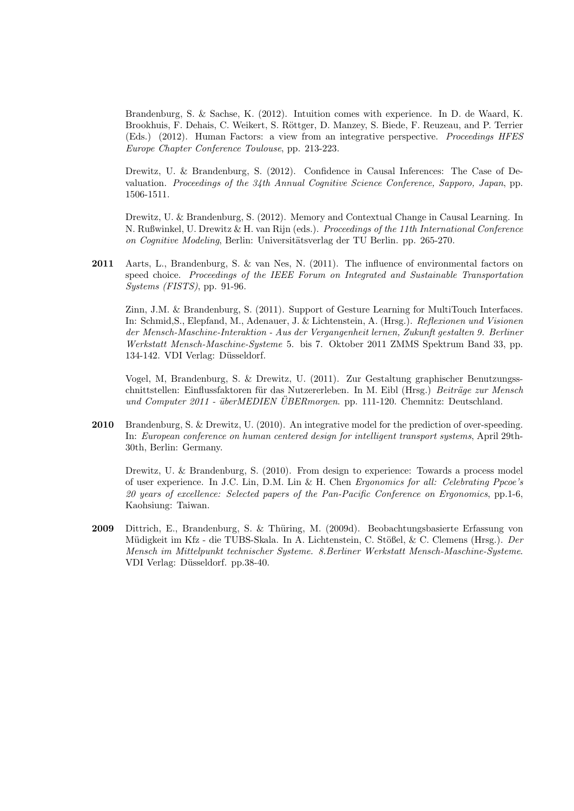Brandenburg, S. & Sachse, K. (2012). Intuition comes with experience. In D. de Waard, K. Brookhuis, F. Dehais, C. Weikert, S. Röttger, D. Manzey, S. Biede, F. Reuzeau, and P. Terrier (Eds.) (2012). Human Factors: a view from an integrative perspective. Proceedings HFES Europe Chapter Conference Toulouse, pp. 213-223.

Drewitz, U. & Brandenburg, S. (2012). Confidence in Causal Inferences: The Case of Devaluation. Proceedings of the 34th Annual Cognitive Science Conference, Sapporo, Japan, pp. 1506-1511.

Drewitz, U. & Brandenburg, S. (2012). Memory and Contextual Change in Causal Learning. In N. Rußwinkel, U. Drewitz & H. van Rijn (eds.). Proceedings of the 11th International Conference on Cognitive Modeling, Berlin: Universitätsverlag der TU Berlin. pp. 265-270.

2011 Aarts, L., Brandenburg, S. & van Nes, N. (2011). The influence of environmental factors on speed choice. Proceedings of the IEEE Forum on Integrated and Sustainable Transportation Systems (FISTS), pp. 91-96.

Zinn, J.M. & Brandenburg, S. (2011). Support of Gesture Learning for MultiTouch Interfaces. In: Schmid,S., Elepfand, M., Adenauer, J. & Lichtenstein, A. (Hrsg.). Reflexionen und Visionen der Mensch-Maschine-Interaktion - Aus der Vergangenheit lernen, Zukunft gestalten 9. Berliner Werkstatt Mensch-Maschine-Systeme 5. bis 7. Oktober 2011 ZMMS Spektrum Band 33, pp. 134-142. VDI Verlag: Düsseldorf.

Vogel, M, Brandenburg, S. & Drewitz, U. (2011). Zur Gestaltung graphischer Benutzungsschnittstellen: Einflussfaktoren für das Nutzererleben. In M. Eibl (Hrsg.) Beiträge zur Mensch und Computer 2011 - überMEDIEN UBERmorgen. pp. 111-120. Chemnitz: Deutschland.

2010 Brandenburg, S. & Drewitz, U. (2010). An integrative model for the prediction of over-speeding. In: European conference on human centered design for intelligent transport systems, April 29th-30th, Berlin: Germany.

Drewitz, U. & Brandenburg, S. (2010). From design to experience: Towards a process model of user experience. In J.C. Lin, D.M. Lin & H. Chen Ergonomics for all: Celebrating Ppcoe's 20 years of excellence: Selected papers of the Pan-Pacific Conference on Ergonomics, pp.1-6, Kaohsiung: Taiwan.

2009 Dittrich, E., Brandenburg, S. & Thüring, M. (2009d). Beobachtungsbasierte Erfassung von Müdigkeit im Kfz - die TUBS-Skala. In A. Lichtenstein, C. Stößel, & C. Clemens (Hrsg.). Der Mensch im Mittelpunkt technischer Systeme. 8.Berliner Werkstatt Mensch-Maschine-Systeme. VDI Verlag: Düsseldorf. pp.38-40.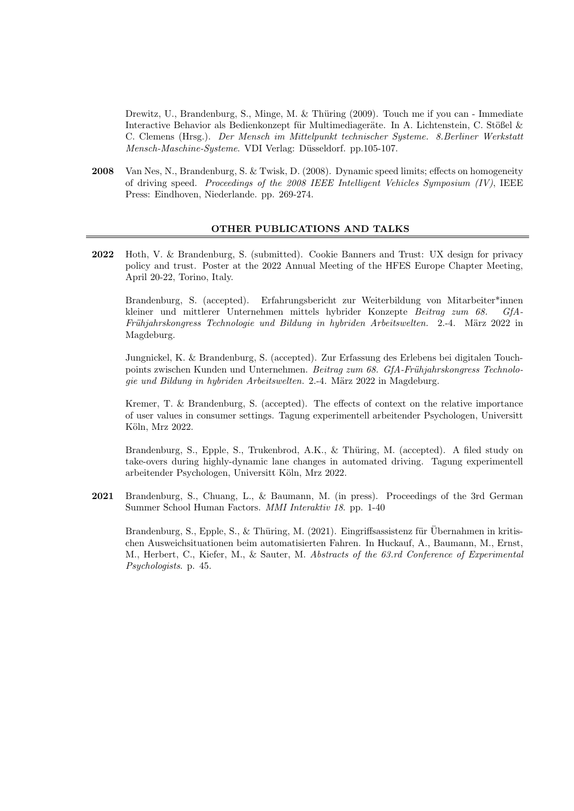Drewitz, U., Brandenburg, S., Minge, M. & Thüring (2009). Touch me if you can - Immediate Interactive Behavior als Bedienkonzept für Multimediageräte. In A. Lichtenstein, C. Stößel & C. Clemens (Hrsg.). Der Mensch im Mittelpunkt technischer Systeme. 8.Berliner Werkstatt Mensch-Maschine-Systeme. VDI Verlag: Düsseldorf. pp.105-107.

2008 Van Nes, N., Brandenburg, S. & Twisk, D. (2008). Dynamic speed limits; effects on homogeneity of driving speed. Proceedings of the 2008 IEEE Intelligent Vehicles Symposium (IV), IEEE Press: Eindhoven, Niederlande. pp. 269-274.

#### OTHER PUBLICATIONS AND TALKS

2022 Hoth, V. & Brandenburg, S. (submitted). Cookie Banners and Trust: UX design for privacy policy and trust. Poster at the 2022 Annual Meeting of the HFES Europe Chapter Meeting, April 20-22, Torino, Italy.

Brandenburg, S. (accepted). Erfahrungsbericht zur Weiterbildung von Mitarbeiter\*innen kleiner und mittlerer Unternehmen mittels hybrider Konzepte Beitrag zum 68. GfA-Frühjahrskongress Technologie und Bildung in hybriden Arbeitswelten. 2.-4. März 2022 in Magdeburg.

Jungnickel, K. & Brandenburg, S. (accepted). Zur Erfassung des Erlebens bei digitalen Touchpoints zwischen Kunden und Unternehmen. Beitrag zum 68. GfA-Frühjahrskongress Technologie und Bildung in hybriden Arbeitswelten. 2.-4. März 2022 in Magdeburg.

Kremer, T. & Brandenburg, S. (accepted). The effects of context on the relative importance of user values in consumer settings. Tagung experimentell arbeitender Psychologen, Universitt Köln, Mrz 2022.

Brandenburg, S., Epple, S., Trukenbrod, A.K., & Thüring, M. (accepted). A filed study on take-overs during highly-dynamic lane changes in automated driving. Tagung experimentell arbeitender Psychologen, Universitt Köln, Mrz 2022.

2021 Brandenburg, S., Chuang, L., & Baumann, M. (in press). Proceedings of the 3rd German Summer School Human Factors. MMI Interaktiv 18. pp. 1-40

Brandenburg, S., Epple, S., & Thüring, M. (2021). Eingriffsassistenz für Übernahmen in kritischen Ausweichsituationen beim automatisierten Fahren. In Huckauf, A., Baumann, M., Ernst, M., Herbert, C., Kiefer, M., & Sauter, M. Abstracts of the 63.rd Conference of Experimental Psychologists. p. 45.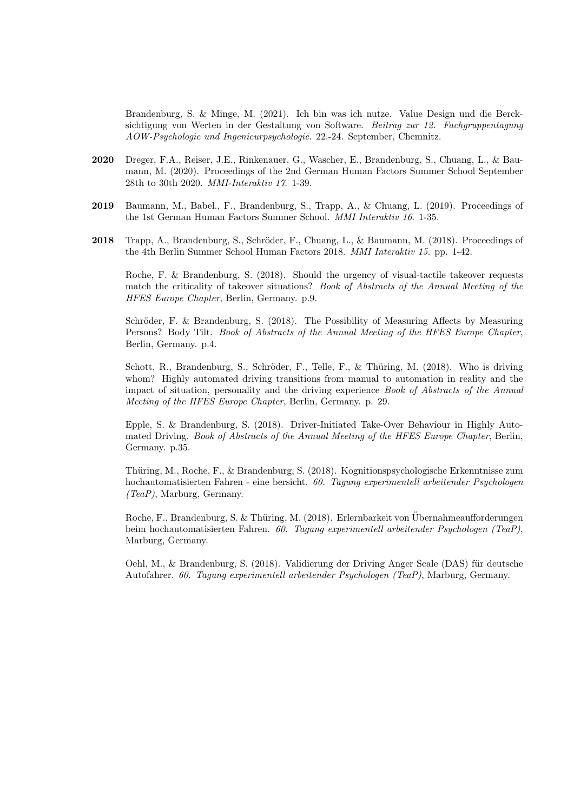Brandenburg, S. & Minge, M. (2021). Ich bin was ich nutze. Value Design und die Bercksichtigung von Werten in der Gestaltung von Software. Beitrag zur 12. Fachgruppentagung AOW-Psychologie und Ingenieurpsychologie. 22.-24. September, Chemnitz.

- 2020 Dreger, F.A., Reiser, J.E., Rinkenauer, G., Wascher, E., Brandenburg, S., Chuang, L., & Baumann, M. (2020). Proceedings of the 2nd German Human Factors Summer School September 28th to 30th 2020. MMI-Interaktiv 17. 1-39.
- 2019 Baumann, M., Babel., F., Brandenburg, S., Trapp, A., & Chuang, L. (2019). Proceedings of the 1st German Human Factors Summer School. MMI Interaktiv 16. 1-35.
- 2018 Trapp, A., Brandenburg, S., Schröder, F., Chuang, L., & Baumann, M. (2018). Proceedings of the 4th Berlin Summer School Human Factors 2018. MMI Interaktiv 15. pp. 1-42.

Roche, F. & Brandenburg, S. (2018). Should the urgency of visual-tactile takeover requests match the criticality of takeover situations? Book of Abstracts of the Annual Meeting of the HFES Europe Chapter, Berlin, Germany. p.9.

Schröder, F. & Brandenburg, S. (2018). The Possibility of Measuring Affects by Measuring Persons? Body Tilt. Book of Abstracts of the Annual Meeting of the HFES Europe Chapter, Berlin, Germany. p.4.

Schott, R., Brandenburg, S., Schröder, F., Telle, F., & Thüring, M. (2018). Who is driving whom? Highly automated driving transitions from manual to automation in reality and the impact of situation, personality and the driving experience Book of Abstracts of the Annual Meeting of the HFES Europe Chapter, Berlin, Germany. p. 29.

Epple, S. & Brandenburg, S. (2018). Driver-Initiated Take-Over Behaviour in Highly Automated Driving. Book of Abstracts of the Annual Meeting of the HFES Europe Chapter, Berlin, Germany. p.35.

Thüring, M., Roche, F., & Brandenburg, S. (2018). Kognitionspsychologische Erkenntnisse zum hochautomatisierten Fahren - eine bersicht. 60. Tagung experimentell arbeitender Psychologen (TeaP), Marburg, Germany.

Roche, F., Brandenburg, S. & Thüring, M. (2018). Erlernbarkeit von Übernahmeaufforderungen beim hochautomatisierten Fahren. 60. Tagung experimentell arbeitender Psychologen (TeaP), Marburg, Germany.

Oehl, M., & Brandenburg, S. (2018). Validierung der Driving Anger Scale (DAS) für deutsche Autofahrer. 60. Tagung experimentell arbeitender Psychologen (TeaP), Marburg, Germany.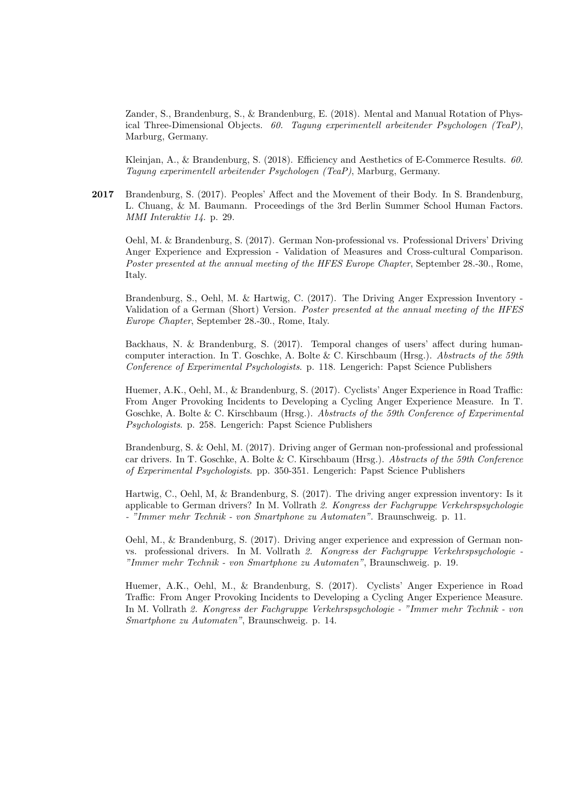Zander, S., Brandenburg, S., & Brandenburg, E. (2018). Mental and Manual Rotation of Physical Three-Dimensional Objects. 60. Tagung experimentell arbeitender Psychologen (TeaP), Marburg, Germany.

Kleinjan, A., & Brandenburg, S. (2018). Efficiency and Aesthetics of E-Commerce Results. 60. Tagung experimentell arbeitender Psychologen (TeaP), Marburg, Germany.

2017 Brandenburg, S. (2017). Peoples' Affect and the Movement of their Body. In S. Brandenburg, L. Chuang, & M. Baumann. Proceedings of the 3rd Berlin Summer School Human Factors. MMI Interaktiv 14. p. 29.

Oehl, M. & Brandenburg, S. (2017). German Non-professional vs. Professional Drivers' Driving Anger Experience and Expression - Validation of Measures and Cross-cultural Comparison. Poster presented at the annual meeting of the HFES Europe Chapter, September 28.-30., Rome, Italy.

Brandenburg, S., Oehl, M. & Hartwig, C. (2017). The Driving Anger Expression Inventory - Validation of a German (Short) Version. Poster presented at the annual meeting of the HFES Europe Chapter, September 28.-30., Rome, Italy.

Backhaus, N. & Brandenburg, S. (2017). Temporal changes of users' affect during humancomputer interaction. In T. Goschke, A. Bolte & C. Kirschbaum (Hrsg.). Abstracts of the 59th Conference of Experimental Psychologists. p. 118. Lengerich: Papst Science Publishers

Huemer, A.K., Oehl, M., & Brandenburg, S. (2017). Cyclists' Anger Experience in Road Traffic: From Anger Provoking Incidents to Developing a Cycling Anger Experience Measure. In T. Goschke, A. Bolte & C. Kirschbaum (Hrsg.). Abstracts of the 59th Conference of Experimental Psychologists. p. 258. Lengerich: Papst Science Publishers

Brandenburg, S. & Oehl, M. (2017). Driving anger of German non-professional and professional car drivers. In T. Goschke, A. Bolte & C. Kirschbaum (Hrsg.). Abstracts of the 59th Conference of Experimental Psychologists. pp. 350-351. Lengerich: Papst Science Publishers

Hartwig, C., Oehl, M, & Brandenburg, S. (2017). The driving anger expression inventory: Is it applicable to German drivers? In M. Vollrath 2. Kongress der Fachgruppe Verkehrspsychologie - "Immer mehr Technik - von Smartphone zu Automaten". Braunschweig. p. 11.

Oehl, M., & Brandenburg, S. (2017). Driving anger experience and expression of German nonvs. professional drivers. In M. Vollrath 2. Kongress der Fachgruppe Verkehrspsychologie - "Immer mehr Technik - von Smartphone zu Automaten", Braunschweig. p. 19.

Huemer, A.K., Oehl, M., & Brandenburg, S. (2017). Cyclists' Anger Experience in Road Traffic: From Anger Provoking Incidents to Developing a Cycling Anger Experience Measure. In M. Vollrath 2. Kongress der Fachgruppe Verkehrspsychologie - "Immer mehr Technik - von Smartphone zu Automaten", Braunschweig. p. 14.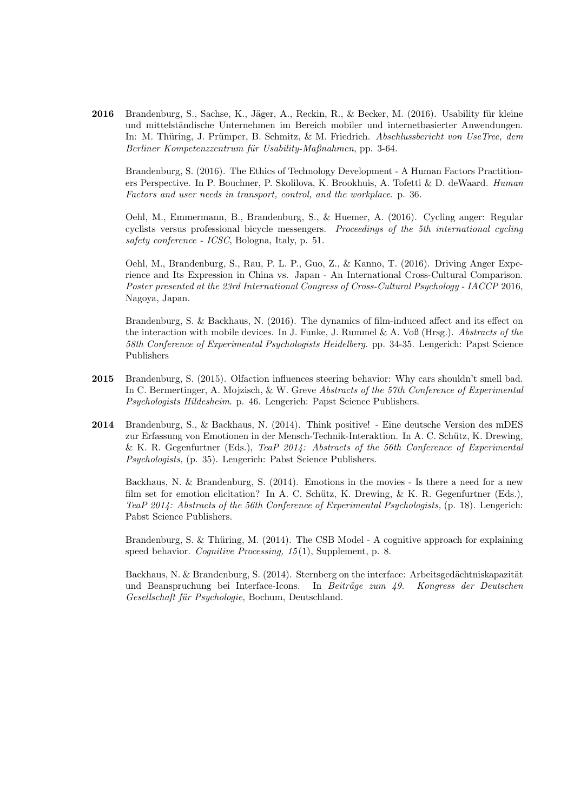2016 Brandenburg, S., Sachse, K., Jäger, A., Reckin, R., & Becker, M. (2016). Usability für kleine und mittelständische Unternehmen im Bereich mobiler und internetbasierter Anwendungen. In: M. Thüring, J. Prümper, B. Schmitz, & M. Friedrich. Abschlussbericht von UseTree, dem Berliner Kompetenzzentrum für Usability-Maßnahmen, pp. 3-64.

Brandenburg, S. (2016). The Ethics of Technology Development - A Human Factors Practitioners Perspective. In P. Bouchner, P. Skolilova, K. Brookhuis, A. Tofetti & D. deWaard. Human Factors and user needs in transport, control, and the workplace. p. 36.

Oehl, M., Emmermann, B., Brandenburg, S., & Huemer, A. (2016). Cycling anger: Regular cyclists versus professional bicycle messengers. Proceedings of the 5th international cycling safety conference - ICSC, Bologna, Italy, p. 51.

Oehl, M., Brandenburg, S., Rau, P. L. P., Guo, Z., & Kanno, T. (2016). Driving Anger Experience and Its Expression in China vs. Japan - An International Cross-Cultural Comparison. Poster presented at the 23rd International Congress of Cross-Cultural Psychology - IACCP 2016, Nagoya, Japan.

Brandenburg, S. & Backhaus, N. (2016). The dynamics of film-induced affect and its effect on the interaction with mobile devices. In J. Funke, J. Rummel  $\&$  A. Voß (Hrsg.). Abstracts of the 58th Conference of Experimental Psychologists Heidelberg. pp. 34-35. Lengerich: Papst Science Publishers

- 2015 Brandenburg, S. (2015). Olfaction influences steering behavior: Why cars shouldn't smell bad. In C. Bermertinger, A. Mojzisch, & W. Greve Abstracts of the 57th Conference of Experimental Psychologists Hildesheim. p. 46. Lengerich: Papst Science Publishers.
- 2014 Brandenburg, S., & Backhaus, N. (2014). Think positive! Eine deutsche Version des mDES zur Erfassung von Emotionen in der Mensch-Technik-Interaktion. In A. C. Schütz, K. Drewing, & K. R. Gegenfurtner (Eds.), TeaP 2014: Abstracts of the 56th Conference of Experimental Psychologists, (p. 35). Lengerich: Pabst Science Publishers.

Backhaus, N. & Brandenburg, S. (2014). Emotions in the movies - Is there a need for a new film set for emotion elicitation? In A. C. Schütz, K. Drewing, & K. R. Gegenfurtner (Eds.), TeaP 2014: Abstracts of the 56th Conference of Experimental Psychologists, (p. 18). Lengerich: Pabst Science Publishers.

Brandenburg, S. & Thüring, M.  $(2014)$ . The CSB Model - A cognitive approach for explaining speed behavior. Cognitive Processing, 15(1), Supplement, p. 8.

Backhaus, N. & Brandenburg, S. (2014). Sternberg on the interface: Arbeitsgedächtniskapazität und Beanspruchung bei Interface-Icons. In Beiträge zum 49. Kongress der Deutschen Gesellschaft für Psychologie, Bochum, Deutschland.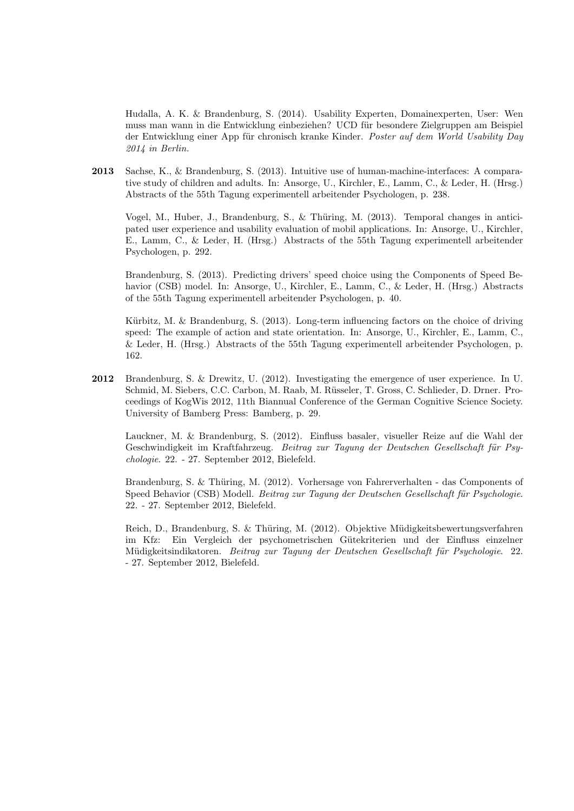Hudalla, A. K. & Brandenburg, S. (2014). Usability Experten, Domainexperten, User: Wen muss man wann in die Entwicklung einbeziehen? UCD für besondere Zielgruppen am Beispiel der Entwicklung einer App für chronisch kranke Kinder. Poster auf dem World Usability Day 2014 in Berlin.

2013 Sachse, K., & Brandenburg, S. (2013). Intuitive use of human-machine-interfaces: A comparative study of children and adults. In: Ansorge, U., Kirchler, E., Lamm, C., & Leder, H. (Hrsg.) Abstracts of the 55th Tagung experimentell arbeitender Psychologen, p. 238.

Vogel, M., Huber, J., Brandenburg, S., & Thüring, M. (2013). Temporal changes in anticipated user experience and usability evaluation of mobil applications. In: Ansorge, U., Kirchler, E., Lamm, C., & Leder, H. (Hrsg.) Abstracts of the 55th Tagung experimentell arbeitender Psychologen, p. 292.

Brandenburg, S. (2013). Predicting drivers' speed choice using the Components of Speed Behavior (CSB) model. In: Ansorge, U., Kirchler, E., Lamm, C., & Leder, H. (Hrsg.) Abstracts of the 55th Tagung experimentell arbeitender Psychologen, p. 40.

Kürbitz, M. & Brandenburg, S. (2013). Long-term influencing factors on the choice of driving speed: The example of action and state orientation. In: Ansorge, U., Kirchler, E., Lamm, C., & Leder, H. (Hrsg.) Abstracts of the 55th Tagung experimentell arbeitender Psychologen, p. 162.

2012 Brandenburg, S. & Drewitz, U. (2012). Investigating the emergence of user experience. In U. Schmid, M. Siebers, C.C. Carbon, M. Raab, M. Rüsseler, T. Gross, C. Schlieder, D. Drner. Proceedings of KogWis 2012, 11th Biannual Conference of the German Cognitive Science Society. University of Bamberg Press: Bamberg, p. 29.

Lauckner, M. & Brandenburg, S. (2012). Einfluss basaler, visueller Reize auf die Wahl der Geschwindigkeit im Kraftfahrzeug. Beitrag zur Tagung der Deutschen Gesellschaft für Psychologie. 22. - 27. September 2012, Bielefeld.

Brandenburg, S. & Thüring, M. (2012). Vorhersage von Fahrerverhalten - das Components of Speed Behavior (CSB) Modell. Beitrag zur Tagung der Deutschen Gesellschaft für Psychologie. 22. - 27. September 2012, Bielefeld.

Reich, D., Brandenburg, S. & Thüring, M. (2012). Objektive Müdigkeitsbewertungsverfahren im Kfz: Ein Vergleich der psychometrischen G¨utekriterien und der Einfluss einzelner Müdigkeitsindikatoren. Beitrag zur Tagung der Deutschen Gesellschaft für Psychologie. 22. - 27. September 2012, Bielefeld.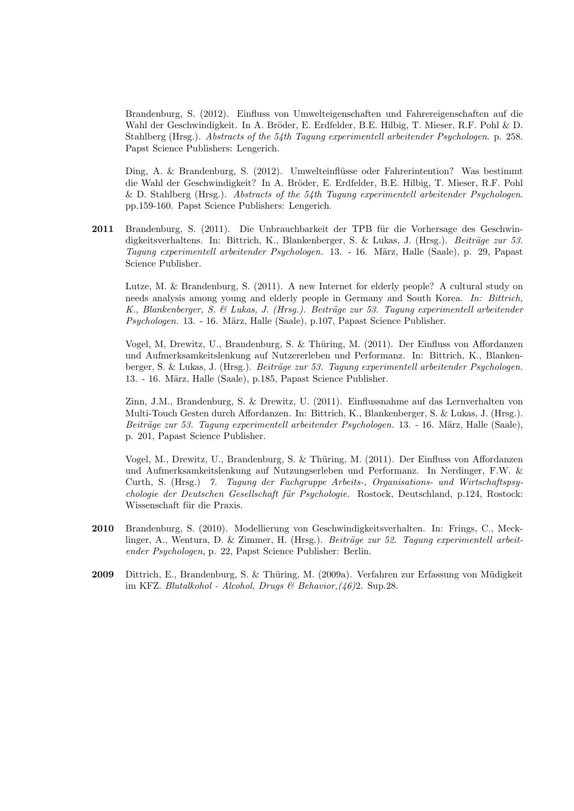Brandenburg, S. (2012). Einfluss von Umwelteigenschaften und Fahrereigenschaften auf die Wahl der Geschwindigkeit. In A. Bröder, E. Erdfelder, B.E. Hilbig, T. Mieser, R.F. Pohl & D. Stahlberg (Hrsg.). Abstracts of the 54th Tagung experimentell arbeitender Psychologen. p. 258. Papst Science Publishers: Lengerich.

Ding, A. & Brandenburg, S. (2012). Umwelteinflüsse oder Fahrerintention? Was bestimmt die Wahl der Geschwindigkeit? In A. Bröder, E. Erdfelder, B.E. Hilbig, T. Mieser, R.F. Pohl & D. Stahlberg (Hrsg.). Abstracts of the 54th Tagung experimentell arbeitender Psychologen. pp.159-160. Papst Science Publishers: Lengerich.

2011 Brandenburg, S. (2011). Die Unbrauchbarkeit der TPB für die Vorhersage des Geschwindigkeitsverhaltens. In: Bittrich, K., Blankenberger, S. & Lukas, J. (Hrsg.). *Beiträge zur 53.* Tagung experimentell arbeitender Psychologen. 13. - 16. März, Halle (Saale), p. 29. Papast Science Publisher.

Lutze, M. & Brandenburg, S. (2011). A new Internet for elderly people? A cultural study on needs analysis among young and elderly people in Germany and South Korea. In: Bittrich, K., Blankenberger, S. & Lukas, J. (Hrsg.). Beiträge zur 53. Tagung experimentell arbeitender Psychologen. 13. - 16. März, Halle (Saale), p.107, Papast Science Publisher.

Vogel, M, Drewitz, U., Brandenburg, S. & Thüring, M. (2011). Der Einfluss von Affordanzen und Aufmerksamkeitslenkung auf Nutzererleben und Performanz. In: Bittrich, K., Blankenberger, S. & Lukas, J. (Hrsg.). *Beiträge zur 53. Tagung experimentell arbeitender Psychologen.* 13. - 16. März, Halle (Saale), p.185, Papast Science Publisher.

Zinn, J.M., Brandenburg, S. & Drewitz, U. (2011). Einflussnahme auf das Lernverhalten von Multi-Touch Gesten durch Affordanzen. In: Bittrich, K., Blankenberger, S. & Lukas, J. (Hrsg.). Beiträge zur 53. Tagung experimentell arbeitender Psychologen. 13. - 16. März, Halle (Saale), p. 201, Papast Science Publisher.

Vogel, M., Drewitz, U., Brandenburg, S. & Thüring, M. (2011). Der Einfluss von Affordanzen und Aufmerksamkeitslenkung auf Nutzungserleben und Performanz. In Nerdinger, F.W. & Curth, S. (Hrsg.) 7. Tagung der Fachgruppe Arbeits-, Organisations- und Wirtschaftspsychologie der Deutschen Gesellschaft für Psychologie. Rostock, Deutschland, p.124, Rostock: Wissenschaft für die Praxis.

- 2010 Brandenburg, S. (2010). Modellierung von Geschwindigkeitsverhalten. In: Frings, C., Mecklinger, A., Wentura, D. & Zimmer, H. (Hrsg.). Beiträge zur 52. Tagung experimentell arbeitender Psychologen, p. 22, Papst Science Publisher: Berlin.
- 2009 Dittrich, E., Brandenburg, S. & Thüring, M. (2009a). Verfahren zur Erfassung von Müdigkeit im KFZ. Blutalkohol - Alcohol, Drugs & Behavior,  $(46)$ 2. Sup.28.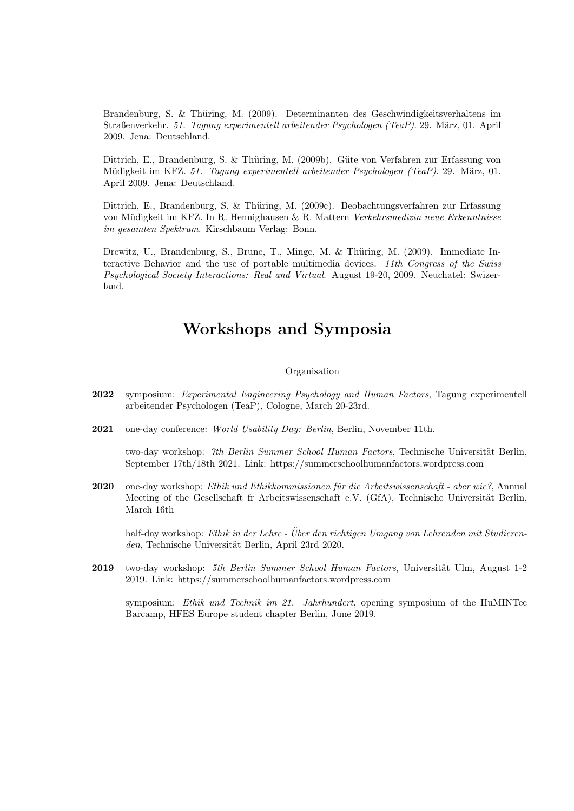Brandenburg, S. & Thüring, M. (2009). Determinanten des Geschwindigkeitsverhaltens im Straßenverkehr. 51. Tagung experimentell arbeitender Psychologen (TeaP). 29. März, 01. April 2009. Jena: Deutschland.

Dittrich, E., Brandenburg, S. & Thüring, M. (2009b). Güte von Verfahren zur Erfassung von Müdigkeit im KFZ. 51. Tagung experimentell arbeitender Psychologen (TeaP). 29. März, 01. April 2009. Jena: Deutschland.

Dittrich, E., Brandenburg, S. & Thüring, M. (2009c). Beobachtungsverfahren zur Erfassung von Müdigkeit im KFZ. In R. Hennighausen & R. Mattern Verkehrsmedizin neue Erkenntnisse im gesamten Spektrum. Kirschbaum Verlag: Bonn.

Drewitz, U., Brandenburg, S., Brune, T., Minge, M. & Thüring, M. (2009). Immediate Interactive Behavior and the use of portable multimedia devices. 11th Congress of the Swiss Psychological Society Interactions: Real and Virtual. August 19-20, 2009. Neuchatel: Swizerland.

## Workshops and Symposia

#### Organisation

- 2022 symposium: Experimental Engineering Psychology and Human Factors, Tagung experimentell arbeitender Psychologen (TeaP), Cologne, March 20-23rd.
- 2021 one-day conference: World Usability Day: Berlin, Berlin, November 11th.

two-day workshop: 7th Berlin Summer School Human Factors, Technische Universität Berlin, September 17th/18th 2021. Link: https://summerschoolhumanfactors.wordpress.com

2020 one-day workshop: Ethik und Ethikkommissionen für die Arbeitswissenschaft - aber wie?, Annual Meeting of the Gesellschaft fr Arbeitswissenschaft e.V. (GfA), Technische Universität Berlin, March 16th

half-day workshop: Ethik in der Lehre - Über den richtigen Umgang von Lehrenden mit Studierenden, Technische Universität Berlin, April 23rd 2020.

2019 two-day workshop: 5th Berlin Summer School Human Factors, Universität Ulm, August 1-2 2019. Link: https://summerschoolhumanfactors.wordpress.com

symposium: Ethik und Technik im 21. Jahrhundert, opening symposium of the HuMINTec Barcamp, HFES Europe student chapter Berlin, June 2019.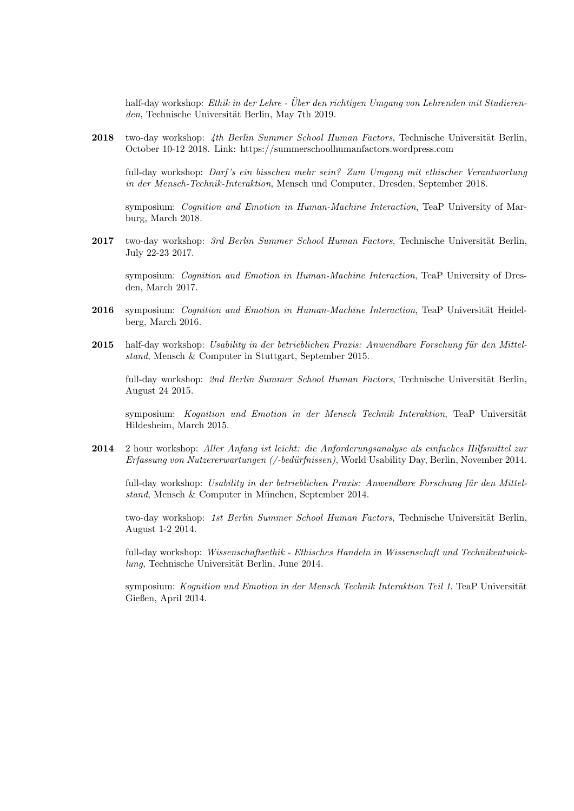half-day workshop: Ethik in der Lehre - Über den richtigen Umgang von Lehrenden mit Studierenden, Technische Universität Berlin, May 7th 2019.

2018 two-day workshop: 4th Berlin Summer School Human Factors, Technische Universität Berlin, October 10-12 2018. Link: https://summerschoolhumanfactors.wordpress.com

full-day workshop: Darf 's ein bisschen mehr sein? Zum Umgang mit ethischer Verantwortung in der Mensch-Technik-Interaktion, Mensch und Computer, Dresden, September 2018.

symposium: Cognition and Emotion in Human-Machine Interaction, TeaP University of Marburg, March 2018.

2017 two-day workshop: 3rd Berlin Summer School Human Factors, Technische Universität Berlin, July 22-23 2017.

symposium: Cognition and Emotion in Human-Machine Interaction, TeaP University of Dresden, March 2017.

- 2016 symposium: Cognition and Emotion in Human-Machine Interaction, TeaP Universität Heidelberg, March 2016.
- 2015 half-day workshop: Usability in der betrieblichen Praxis: Anwendbare Forschung für den Mittelstand, Mensch & Computer in Stuttgart, September 2015.

full-day workshop: 2nd Berlin Summer School Human Factors, Technische Universität Berlin, August 24 2015.

symposium: Kognition und Emotion in der Mensch Technik Interaktion, TeaP Universität Hildesheim, March 2015.

2014 2 hour workshop: Aller Anfang ist leicht: die Anforderungsanalyse als einfaches Hilfsmittel zur Erfassung von Nutzererwartungen (/-bed¨urfnissen), World Usability Day, Berlin, November 2014.

full-day workshop: Usability in der betrieblichen Praxis: Anwendbare Forschung für den Mittelstand, Mensch & Computer in München, September 2014.

two-day workshop: 1st Berlin Summer School Human Factors, Technische Universität Berlin, August 1-2 2014.

full-day workshop: Wissenschaftsethik - Ethisches Handeln in Wissenschaft und Technikentwick $lung, Technische Universität Berlin, June 2014.$ 

symposium: Kognition und Emotion in der Mensch Technik Interaktion Teil 1, TeaP Universität Gießen, April 2014.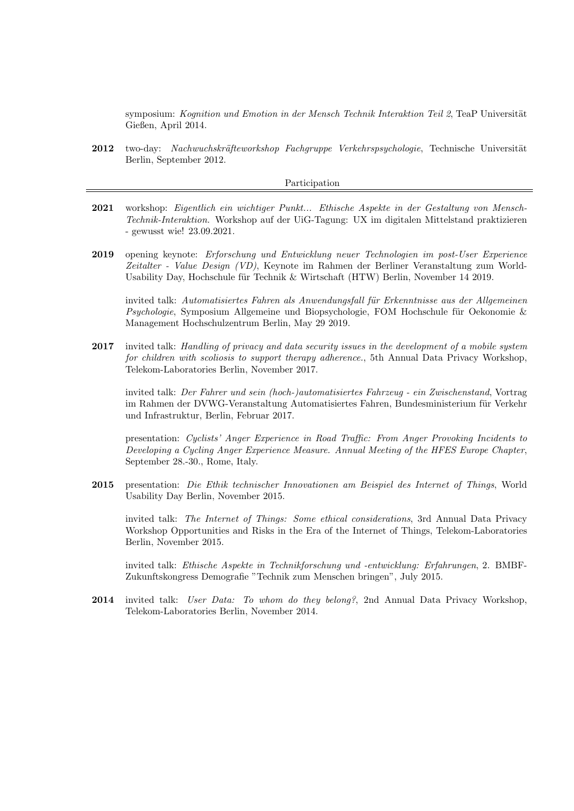symposium: Kognition und Emotion in der Mensch Technik Interaktion Teil 2, TeaP Universität Gießen, April 2014.

2012 two-day: Nachwuchskräfteworkshop Fachgruppe Verkehrspsychologie, Technische Universität Berlin, September 2012.

#### Participation

- 2021 workshop: Eigentlich ein wichtiger Punkt... Ethische Aspekte in der Gestaltung von Mensch-Technik-Interaktion. Workshop auf der UiG-Tagung: UX im digitalen Mittelstand praktizieren - gewusst wie! 23.09.2021.
- 2019 opening keynote: Erforschung und Entwicklung neuer Technologien im post-User Experience Zeitalter - Value Design (VD), Keynote im Rahmen der Berliner Veranstaltung zum World-Usability Day, Hochschule für Technik & Wirtschaft (HTW) Berlin, November 14 2019.

invited talk: Automatisiertes Fahren als Anwendungsfall für Erkenntnisse aus der Allgemeinen  $P<sub>st</sub>choloqie, Symposium Allgemeine und Biosychologie, FOM Hochschule für Oekonomie &$ Management Hochschulzentrum Berlin, May 29 2019.

2017 invited talk: Handling of privacy and data security issues in the development of a mobile system for children with scoliosis to support therapy adherence., 5th Annual Data Privacy Workshop, Telekom-Laboratories Berlin, November 2017.

invited talk: Der Fahrer und sein (hoch-)automatisiertes Fahrzeug - ein Zwischenstand, Vortrag im Rahmen der DVWG-Veranstaltung Automatisiertes Fahren, Bundesministerium für Verkehr und Infrastruktur, Berlin, Februar 2017.

presentation: Cyclists' Anger Experience in Road Traffic: From Anger Provoking Incidents to Developing a Cycling Anger Experience Measure. Annual Meeting of the HFES Europe Chapter, September 28.-30., Rome, Italy.

2015 presentation: Die Ethik technischer Innovationen am Beispiel des Internet of Things, World Usability Day Berlin, November 2015.

invited talk: The Internet of Things: Some ethical considerations, 3rd Annual Data Privacy Workshop Opportunities and Risks in the Era of the Internet of Things, Telekom-Laboratories Berlin, November 2015.

invited talk: Ethische Aspekte in Technikforschung und -entwicklung: Erfahrungen, 2. BMBF-Zukunftskongress Demografie "Technik zum Menschen bringen", July 2015.

2014 invited talk: User Data: To whom do they belong?, 2nd Annual Data Privacy Workshop, Telekom-Laboratories Berlin, November 2014.